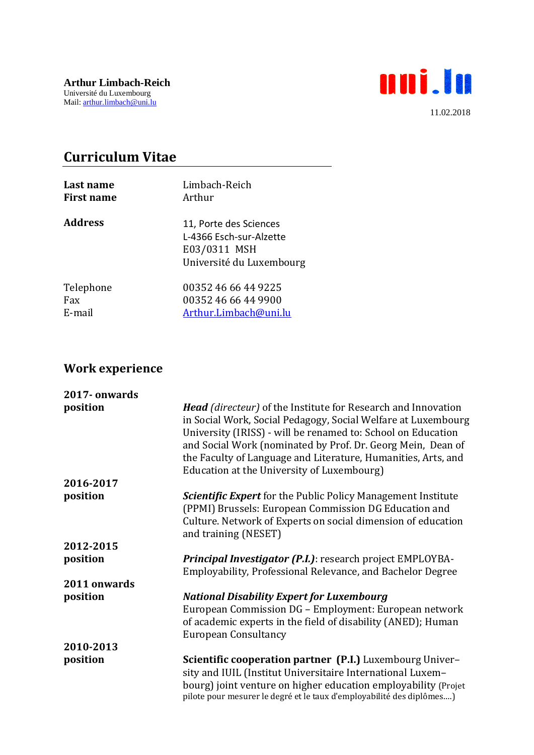

## **Curriculum Vitae**

| Last name         | Limbach-Reich                                                                                 |
|-------------------|-----------------------------------------------------------------------------------------------|
| <b>First name</b> | Arthur                                                                                        |
| <b>Address</b>    | 11, Porte des Sciences<br>L-4366 Esch-sur-Alzette<br>E03/0311 MSH<br>Université du Luxembourg |
| Telephone         | 00352 46 66 44 9225                                                                           |
| Fax               | 00352 46 66 44 9900                                                                           |
| E-mail            | Arthur.Limbach@uni.lu                                                                         |

## **Work experience**

| 2017-onwards |                                                                                                                                                                                                                                                                                                                                                                                     |
|--------------|-------------------------------------------------------------------------------------------------------------------------------------------------------------------------------------------------------------------------------------------------------------------------------------------------------------------------------------------------------------------------------------|
| position     | <b>Head</b> (directeur) of the Institute for Research and Innovation<br>in Social Work, Social Pedagogy, Social Welfare at Luxembourg<br>University (IRISS) - will be renamed to: School on Education<br>and Social Work (nominated by Prof. Dr. Georg Mein, Dean of<br>the Faculty of Language and Literature, Humanities, Arts, and<br>Education at the University of Luxembourg) |
| 2016-2017    |                                                                                                                                                                                                                                                                                                                                                                                     |
| position     | <b>Scientific Expert</b> for the Public Policy Management Institute<br>(PPMI) Brussels: European Commission DG Education and<br>Culture. Network of Experts on social dimension of education<br>and training (NESET)                                                                                                                                                                |
| 2012-2015    |                                                                                                                                                                                                                                                                                                                                                                                     |
| position     | <b>Principal Investigator (P.I.)</b> : research project EMPLOYBA-<br>Employability, Professional Relevance, and Bachelor Degree                                                                                                                                                                                                                                                     |
| 2011 onwards |                                                                                                                                                                                                                                                                                                                                                                                     |
| position     | <b>National Disability Expert for Luxembourg</b><br>European Commission DG - Employment: European network<br>of academic experts in the field of disability (ANED); Human<br><b>European Consultancy</b>                                                                                                                                                                            |
| 2010-2013    |                                                                                                                                                                                                                                                                                                                                                                                     |
| position     | Scientific cooperation partner (P.I.) Luxembourg Univer-<br>sity and IUIL (Institut Universitaire International Luxem-<br>bourg) joint venture on higher education employability (Projet<br>pilote pour mesurer le degré et le taux d'employabilité des diplômes)                                                                                                                   |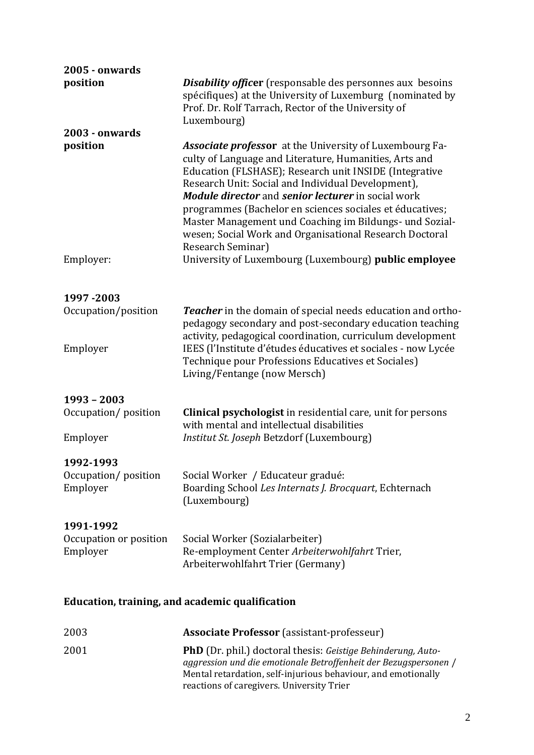| <b>2005 - onwards</b>                           |                                                                                                                                                                                                                                                                                                                                                                                                                                                                                                              |  |
|-------------------------------------------------|--------------------------------------------------------------------------------------------------------------------------------------------------------------------------------------------------------------------------------------------------------------------------------------------------------------------------------------------------------------------------------------------------------------------------------------------------------------------------------------------------------------|--|
| position                                        | <b>Disability officer</b> (responsable des personnes aux besoins<br>spécifiques) at the University of Luxemburg (nominated by<br>Prof. Dr. Rolf Tarrach, Rector of the University of<br>Luxembourg)                                                                                                                                                                                                                                                                                                          |  |
| 2003 - onwards                                  |                                                                                                                                                                                                                                                                                                                                                                                                                                                                                                              |  |
| position                                        | <b>Associate professor</b> at the University of Luxembourg Fa-<br>culty of Language and Literature, Humanities, Arts and<br>Education (FLSHASE); Research unit INSIDE (Integrative<br>Research Unit: Social and Individual Development),<br><b>Module director and senior lecturer in social work</b><br>programmes (Bachelor en sciences sociales et éducatives;<br>Master Management und Coaching im Bildungs- und Sozial-<br>wesen; Social Work and Organisational Research Doctoral<br>Research Seminar) |  |
| Employer:                                       | University of Luxembourg (Luxembourg) public employee                                                                                                                                                                                                                                                                                                                                                                                                                                                        |  |
| 1997-2003                                       |                                                                                                                                                                                                                                                                                                                                                                                                                                                                                                              |  |
| Occupation/position                             | <b>Teacher</b> in the domain of special needs education and ortho-<br>pedagogy secondary and post-secondary education teaching<br>activity, pedagogical coordination, curriculum development                                                                                                                                                                                                                                                                                                                 |  |
| Employer                                        | IEES (l'Institute d'études éducatives et sociales - now Lycée<br>Technique pour Professions Educatives et Sociales)<br>Living/Fentange (now Mersch)                                                                                                                                                                                                                                                                                                                                                          |  |
| 1993 - 2003                                     |                                                                                                                                                                                                                                                                                                                                                                                                                                                                                                              |  |
| Occupation/position                             | <b>Clinical psychologist</b> in residential care, unit for persons<br>with mental and intellectual disabilities                                                                                                                                                                                                                                                                                                                                                                                              |  |
| Employer                                        | Institut St. Joseph Betzdorf (Luxembourg)                                                                                                                                                                                                                                                                                                                                                                                                                                                                    |  |
| 1992-1993<br>Occupation/position<br>Employer    | Social Worker / Educateur gradué:<br>Boarding School Les Internats J. Brocquart, Echternach<br>(Luxembourg)                                                                                                                                                                                                                                                                                                                                                                                                  |  |
| 1991-1992<br>Occupation or position<br>Employer | Social Worker (Sozialarbeiter)<br>Re-employment Center Arbeiterwohlfahrt Trier,<br>Arbeiterwohlfahrt Trier (Germany)                                                                                                                                                                                                                                                                                                                                                                                         |  |
| Education, training, and academic qualification |                                                                                                                                                                                                                                                                                                                                                                                                                                                                                                              |  |
| 2003                                            | <b>Associate Professor</b> (assistant-professeur)                                                                                                                                                                                                                                                                                                                                                                                                                                                            |  |

2001 **PhD** (Dr. phil.) doctoral thesis: *Geistige Behinderung, Autoaggression und die emotionale Betroffenheit der Bezugspersonen* / Mental retardation, self-injurious behaviour, and emotionally reactions of caregivers. University Trier